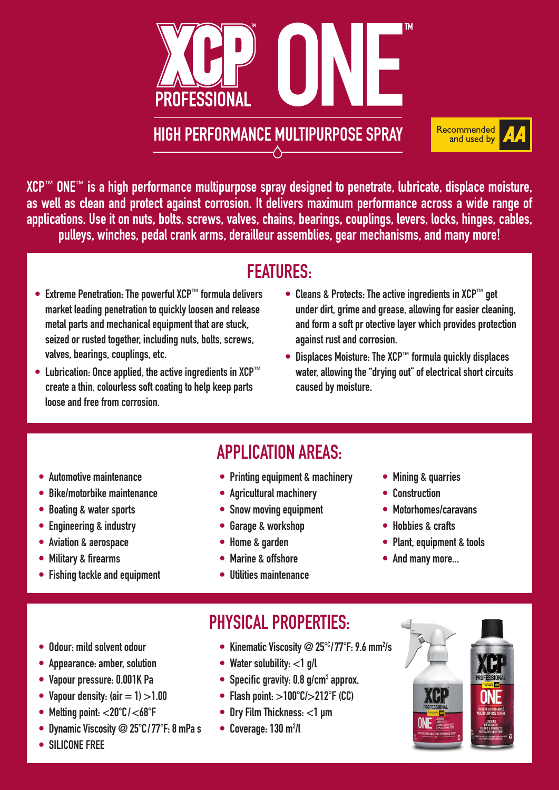

HIGH PERFORMANCE MULTIPURPOSE SPRAY

XCP™ ONE™ is a high performance multipurpose spray designed to penetrate, lubricate, displace moisture, as well as clean and protect against corrosion. It delivers maximum performance across a wide range of applications. Use it on nuts, bolts, screws, valves, chains, bearings, couplings, levers, locks, hinges, cables, pulleys, winches, pedal crank arms, derailleur assemblies, gear mechanisms, and many more!

### FEATURES:

- Extreme Penetration: The powerful XCP™ formula delivers market leading penetration to quickly loosen and release metal parts and mechanical equipment that are stuck, seized or rusted together, including nuts, bolts, screws, valves, bearings, couplings, etc.
- Lubrication: Once applied, the active ingredients in XCP™ create a thin, colourless soft coating to help keep parts loose and free from corrosion.
- Cleans & Protects: The active ingredients in XCP™ get under dirt, grime and grease, allowing for easier cleaning, and form a soft pr otective layer which provides protection against rust and corrosion.

Recommended and used by

• Displaces Moisture: The XCP™ formula quickly displaces water, allowing the "drying out" of electrical short circuits caused by moisture.

- Automotive maintenance
- Bike/motorbike maintenance
- Boating & water sports
- Engineering & industry
- Aviation & aerospace
- Military & firearms
- Fishing tackle and equipment

• Printing equipment & machinery

APPLICATION AREAS:

- Agricultural machinery
- Snow moving equipment
- Garage & workshop
- Home & garden
- Marine & offshore
- Utilities maintenance
- Mining & quarries
- Construction
- Motorhomes/caravans
- Hobbies & crafts
- Plant, equipment & tools
- And many more...

- Odour: mild solvent odour
- Appearance: amber, solution
- Vapour pressure: 0.001K Pa
- Vapour density:  $(air = 1) > 1.00$
- Melting point:  $<$ 20 $^{\circ}$ C/ $<$ 68 $^{\circ}$ F
- Dynamic Viscosity  $@25^{\circ}C/77^{\circ}F:8$  mPa s
- SILICONE FREE
- 
- Kinematic Viscosity  $@25^{\circ}$  / 77 $^{\circ}$ F: 9.6 mm<sup>2</sup>/s
- Water solubility:  $<$ 1 g/l
- Specific gravity:  $0.8$  g/cm<sup>3</sup> approx.
- Flash point:  $>100^{\circ}$ C/ $>212^{\circ}$ F (CC)
- Dry Film Thickness: <1 µm

PHYSICAL PROPERTIES.

 $\bullet$  Coverage: 130 m<sup>2</sup>/l